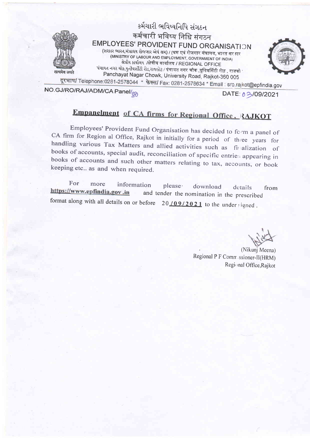

કર્મચારી ભવિષ્યનિધિ સંગઠન कर्मचारी भविष्य निधि संगठन EMPLOYEES' PROVIDENT FUND ORGANISATION (सरકार ભારત,મંત્રાલય રોજગાર એવં શ્રમ) / (श्रम एवं रोजगार मंत्रालय, भारत सर हार

(MINISTRY OF LABOUR AND EMPLOYMENT, GOVERNMENT OF INDIA) क्षेत्रीय કार्याલय /क्षेत्रीय कार्यालय / REGIONAL OFFICE <u> પંચાયત નગર ચોક,યુનીવર્સીટી રોડ,રાજકોટ / पंचायत नगर चौक ,यूनिवर्सिटी रोड़ , राजको '</u> Panchayat Nagar Chowk, University Road, Rajkot-360 005



दूरभाष/ Telephone:0281-2578044 \* फेक्स/ Fax: 0281-2578634 \* Email : sro.rajkot@epfindia.gov

NO.GJ/RO/RAJ/ADM/CA Panel/<sub>@</sub>

DATE: 0 3/09/2021

# Empanelment of CA firms for Regional Office, RAJKOT

Employees' Provident Fund Organisation has decided to form a panel of CA firm for Region al Office, Rajkot in initially for a period of three years for handling various Tax Matters and allied activities such as finalization of books of accounts, special audit, reconciliation of specific entries appearing in books of accounts and such other matters relating to tax, accounts, or book keeping etc.. as and when required.

For information more please · download details from https://www.epfindia.gov.in and tender the nomination in the prescribed format along with all details on or before  $20/09/2021$  to the under signed.

(Nikunj Meena) Regional P F Commissioner-II(HRM) Regional Office, Rajkot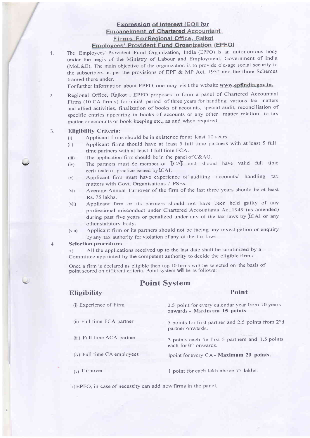# Expression of Interest (EOII for<br>Empanelment of Chartered Accountant Firms ForRegional Office, Raikot

# **Employees' Provident Fund Organization (EPFOI**

1. The Employees' Provident Fund Organization, India (EPFO) is an autonomous body under the aegis of the Ministry of Labour and Employment, Government of India (MoL&E). The main objective of the organization is to provide old-age social security to the subscribers as per the provisions of EPF  $&$  MP Act, 1952 and the three Schemes framed there under.

For further information about EPFO, one may visit the website www.epfIndia.gov.in.

 $\overline{\phantom{0}}$ 

2. Regional Office, Rajkot, EPFO proposes to form a panel of Chartered Accountant Firms (10 CA firm s) for initial period of three years for handling various tax matters and allied activities, finalization of books of accounts, special audit, reconciliation of specific entries appearing in books of accounts or any other matter relation to tax matter or accounts or book keeping etc., as and when required.

## 3. Eligibility Criteria:

- $(i)$  Applicant firms should be in existence for at least 10 years.
- (ii) Applicant firms should have at least 5 full time partners with at least 5 full time partners with at least I full time FCA.
- (iii) The application firm should be in the panel of  $C&AG$ .
- (iv) The partners must 6e member of  $ICAF$  and should have valid full time certificate of practice issued bylCAl.
- (v) Applicant firrn must have experience of auditing accounts/ handling tax matters with Govt. Organisations / PSEs-
- (vi) Average Annual Turnover of the firrn of the last three years should be at least Rs. 75 lakhs.
- (vii) Applicant firm or its partners should not have been held guilty of any professional misconduct under Chartered Accountants Act, 1949 (as amended) during past five years or penalized under any of the tax laws by ICAI or any other statutory body.
- (viii) Applicant firm or its partners should not be facing any investigation or enquiry by any tax authority for violation of any of the tax laws.

### 4. Selection procedure:

a) All the applications received up to the last date shall be scrutinized by <sup>a</sup> Committee appointed by the competent authority to decide the eligible firms.

Once a firm is declared as eligible then top 10 firms will be selected on the basis of point scored on different criteria. Point system will be as follows:

# Point Svstem

# Eligibility Point

| (i) Experience of Firm      | 0.5 point for every calendar year from 10 years<br>onwards - Maximum 15 points         |
|-----------------------------|----------------------------------------------------------------------------------------|
| (ii) Full time FCA partner  | 5 points for first partner and 2.5 points from 2°d<br>partner onwards.                 |
| (iii) Full time ACA partner | 3 points each for first 5 partners and 1.5 points<br>each for 6 <sup>th</sup> onwards. |
| (iv) Full time CA employees | lpoint for every CA - Maximum 20 points.                                               |
| $(v)$ Turnover              | 1 point for each lakh above 75 lakhs.                                                  |

b) EPFO, in case of necessity can add new firms in the panel.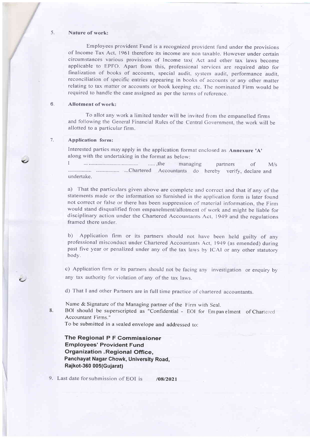### 5. Nature of work:

Employees provident Fund is a recognized provident fund under the provisions of Income Tax Act. l96l therefore its income are nou taxable. However under certain circumstances various provisions of Income tax( Act and other tax laws become applicable to EPFO. Apart from this, professional services are required also for finalization of books of accounts, special audit, system audit, performance audit, reconciliation of specific entries appearing in books of accounts or any other matter relating to tax matter or accounts or book keeping etc. The nominated Firm would be required to handle the case assigned as per the terms of reference.

### 6 Allotment of work:

To allot any work a limited tender will be invited from the empanelled firms and following the General Financial Rules of the Central Government, the work will be allotted to a particular firm,

## 7. Application form:

 $\overline{\mathbf{c}}$ 

 $\epsilon$ 

Interested parties may apply in the application format enclosed as Annexure 'A' along with the undertaking in the format as below:

I ... ...,.,the managing partners of M/s ...Chartered Accountants do hereby verify, declare and undertake.

a) That the particulars given above are complete and correct and that if any of the statements made or the information so furnished in the application form is later found not correct or false or there has been suppression of material information, the Firm would stand disqualified from empanelment/allotment of work and might be liable for disciplinary action under the Chartered Accountants Act, 1949 and the regulations framed there under.

b) Application firrn or its partners should not have been held guilty of any professional misconduct under Chartered Accountants Act, 1949 (as emended) during past five year or penalized under any of the tax laws by ICAI or any other statutory body.

c) Application firrn or its partners should not be facing any investigation or enquiry by any tax authority for violation of any of the tax laws.

d) That I and other Partners are in full time practice of chartered accountants.

Name & Signature of the Managing partner of the Firm with Seal.<br>8. BOI should be superscripted as "Confidential - EOI for Empanelment of Char{\*\*\*ered Accountant Firms."

To be submitted in a sealed envelope and addressed to:

The Regional P F Commissioner Employees' Provident Fund Organization . Regional Office, Panchayat Nagar Chowk, University Road, Rajkot-360 005(Gujarat)

9. Last date for submission of EOI is /08/2021